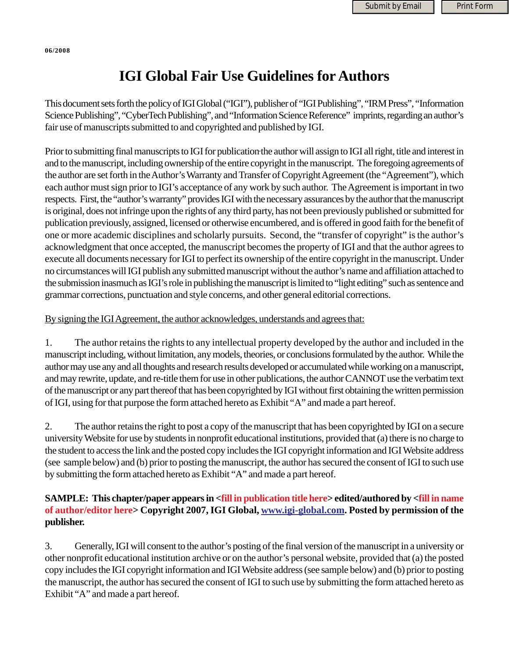## **IGI Global Fair Use Guidelines for Authors**

This document sets forth the policy of IGI Global ("IGI"), publisher of "IGI Publishing", "IRM Press", "Information Science Publishing", "CyberTech Publishing", and "Information Science Reference" imprints, regarding an author's fair use of manuscripts submitted to and copyrighted and published by IGI.

Prior to submitting final manuscripts to IGI for publication the author will assign to IGI all right, title and interest in and to the manuscript, including ownership of the entire copyright in the manuscript. The foregoing agreements of the author are set forth in the Author's Warranty and Transfer of Copyright Agreement (the "Agreement"), which each author must sign prior to IGI's acceptance of any work by such author. The Agreement is important in two respects. First, the "author's warranty" provides IGI with the necessary assurances by the author that the manuscript is original, does not infringe upon the rights of any third party, has not been previously published or submitted for publication previously, assigned, licensed or otherwise encumbered, and is offered in good faith for the benefit of one or more academic disciplines and scholarly pursuits. Second, the "transfer of copyright" is the author's acknowledgment that once accepted, the manuscript becomes the property of IGI and that the author agrees to execute all documents necessary for IGI to perfect its ownership of the entire copyright in the manuscript. Under no circumstances will IGI publish any submitted manuscript without the author's name and affiliation attached to the submission inasmuch as IGI's role in publishing the manuscript is limited to "light editing" such as sentence and grammar corrections, punctuation and style concerns, and other general editorial corrections.

#### By signing the IGI Agreement, the author acknowledges, understands and agrees that:

1. The author retains the rights to any intellectual property developed by the author and included in the manuscript including, without limitation, any models, theories, or conclusions formulated by the author. While the author may use any and all thoughts and research results developed or accumulated while working on a manuscript, and may rewrite, update, and re-title them for use in other publications, the author CANNOT use the verbatim text of the manuscript or any part thereof that has been copyrighted by IGI without first obtaining the written permission of IGI, using for that purpose the form attached hereto as Exhibit "A" and made a part hereof.

2. The author retains the right to post a copy of the manuscript that has been copyrighted by IGI on a secure university Website for use by students in nonprofit educational institutions, provided that (a) there is no charge to the student to access the link and the posted copy includes the IGI copyright information and IGI Website address (see sample below) and (b) prior to posting the manuscript, the author has secured the consent of IGI to such use by submitting the form attached hereto as Exhibit "A" and made a part hereof.

#### **SAMPLE: This chapter/paper appears in <fill in publication title here> edited/authored by <fill in name of author/editor here> Copyright 2007, IGI Global, www.igi-global.com. Posted by permission of the publisher.**

3. Generally, IGI will consent to the author's posting of the final version of the manuscript in a university or other nonprofit educational institution archive or on the author's personal website, provided that (a) the posted copy includes the IGI copyright information and IGI Website address (see sample below) and (b) prior to posting the manuscript, the author has secured the consent of IGI to such use by submitting the form attached hereto as Exhibit "A" and made a part hereof.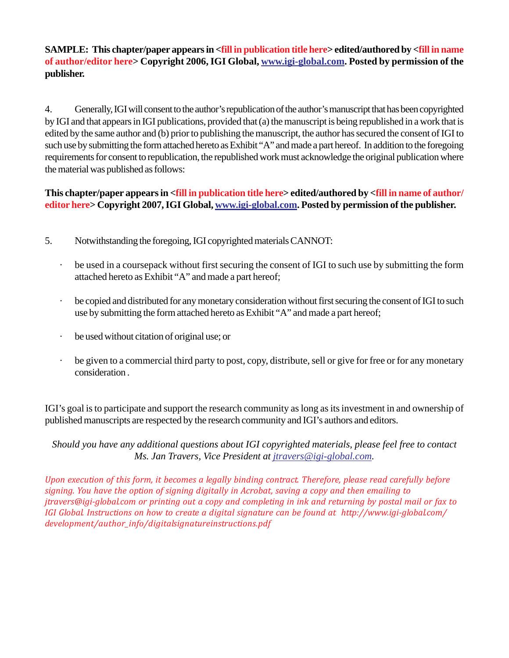#### **SAMPLE: This chapter/paper appears in <fill in publication title here> edited/authored by <fill in name of author/editor here> Copyright 2006, IGI Global, www.igi-global.com. Posted by permission of the publisher.**

4. Generally, IGI will consent to the author's republication of the author's manuscript that has been copyrighted by IGI and that appears in IGI publications, provided that (a) the manuscript is being republished in a work that is edited by the same author and (b) prior to publishing the manuscript, the author has secured the consent of IGI to such use by submitting the form attached hereto as Exhibit "A" and made a part hereof. In addition to the foregoing requirements for consent to republication, the republished work must acknowledge the original publication where the material was published as follows:

### **This chapter/paper appears in <fill in publication title here> edited/authored by <fill in name of author/ editor here> Copyright 2007, IGI Global, www.igi-global.com. Posted by permission of the publisher.**

- 5. Notwithstanding the foregoing, IGI copyrighted materials CANNOT:
	- · be used in a coursepack without first securing the consent of IGI to such use by submitting the form attached hereto as Exhibit "A" and made a part hereof;
	- be copied and distributed for any monetary consideration without first securing the consent of IGI to such use by submitting the form attached hereto as Exhibit "A" and made a part hereof;
	- be used without citation of original use; or
	- be given to a commercial third party to post, copy, distribute, sell or give for free or for any monetary consideration .

IGI's goal is to participate and support the research community as long as its investment in and ownership of published manuscripts are respected by the research community and IGI's authors and editors.

*Should you have any additional questions about IGI copyrighted materials, please feel free to contact Ms. Jan Travers, Vice President at jtravers@igi-global.com.*

*Upon execution of this form, it becomes a legally binding contract. Therefore, please read carefully before signing. You have the option of signing digitally in Acrobat, saving a copy and then emailing to jtravers@igi-global.com or printing out a copy and completing in ink and returning by postal mail or fax to IGI Global. Instructions on how to create a digital signature can be found at http://www.igi-global.com/ development/author\_info/digitalsignatureinstructions.pdf*